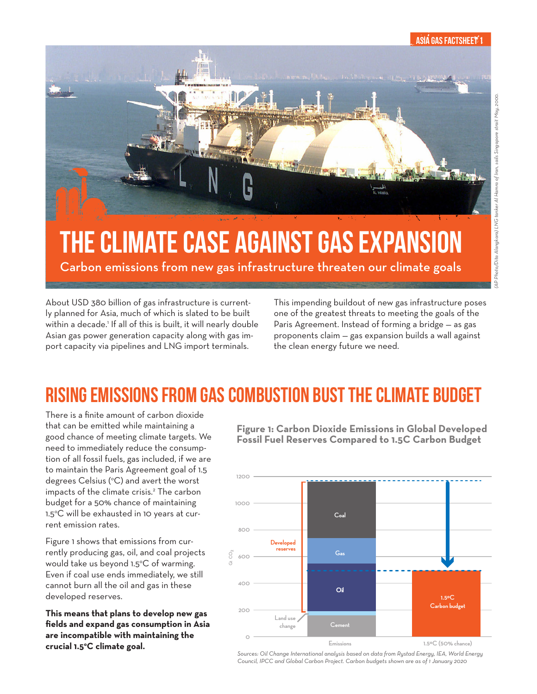#### ASIA GAS FACTSHEET 1



# THE CLIMATE CASE AGAINST GAS EXPANSION

Carbon emissions from new gas infrastructure threaten our climate goals

About USD 380 billion of gas infrastructure is currently planned for Asia, much of which is slated to be built within a decade.1 If all of this is built, it will nearly double Asian gas power generation capacity along with gas import capacity via pipelines and LNG import terminals.

This impending buildout of new gas infrastructure poses one of the greatest threats to meeting the goals of the Paris Agreement. Instead of forming a bridge — as gas proponents claim — gas expansion builds a wall against the clean energy future we need.

### RISING EMISSIONS FROM GAS COMBUSTION BUST THE CLIMATE BUDGET

There is a finite amount of carbon dioxide that can be emitted while maintaining a good chance of meeting climate targets. We need to immediately reduce the consumption of all fossil fuels, gas included, if we are to maintain the Paris Agreement goal of 1.5 degrees Celsius (°C) and avert the worst impacts of the climate crisis.2 The carbon budget for a 50% chance of maintaining 1.5°C will be exhausted in 10 years at current emission rates.

Figure 1 shows that emissions from currently producing gas, oil, and coal projects would take us beyond 1.5°C of warming. Even if coal use ends immediately, we still cannot burn all the oil and gas in these developed reserves.

**This means that plans to develop new gas fields and expand gas consumption in Asia are incompatible with maintaining the crucial 1.5o C climate goal.**

**Figure 1: Carbon Dioxide Emissions in Global Developed Fossil Fuel Reserves Compared to 1.5C Carbon Budget**



*Sources: Oil Change International analysis based on data from Rystad Energy, IEA, World Energy Council, IPCC and Global Carbon Project. Carbon budgets shown are as of 1 January 2020*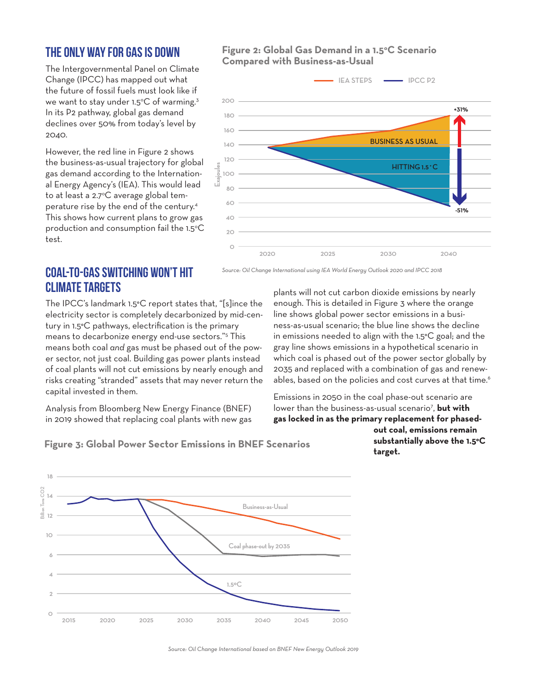### THE ONLY WAY FOR GAS IS DOWN

The Intergovernmental Panel on Climate Change (IPCC) has mapped out what the future of fossil fuels must look like if we want to stay under 1.5°C of warming.<sup>3</sup> In its P2 pathway, global gas demand declines over 50% from today's level by 2040.

However, the red line in Figure 2 shows the business-as-usual trajectory for global gas demand according to the International Energy Agency's (IEA). This would lead to at least a 2.7°C average global temperature rise by the end of the century.4 This shows how current plans to grow gas production and consumption fail the 1.5°C test.

#### Figure 2: Global Gas Demand in a 1.5°C Scenario **Compared with Business-as-Usual**



### COAL-TO-GAS SWITCHING WON'T HIT CLIMATE TARGETS

The IPCC's landmark 1.5°C report states that, "[s]ince the electricity sector is completely decarbonized by mid-century in 1.5°C pathways, electrification is the primary means to decarbonize energy end-use sectors."5 This means both coal *and* gas must be phased out of the power sector, not just coal. Building gas power plants instead of coal plants will not cut emissions by nearly enough and risks creating "stranded" assets that may never return the capital invested in them.

Analysis from Bloomberg New Energy Finance (BNEF) in 2019 showed that replacing coal plants with new gas

*Source: Oil Change International using IEA World Energy Outlook 2020 and IPCC 2018*

plants will not cut carbon dioxide emissions by nearly enough. This is detailed in Figure 3 where the orange line shows global power sector emissions in a business-as-usual scenario; the blue line shows the decline in emissions needed to align with the 1.5°C goal; and the gray line shows emissions in a hypothetical scenario in which coal is phased out of the power sector globally by 2035 and replaced with a combination of gas and renewables, based on the policies and cost curves at that time.<sup>6</sup>

Emissions in 2050 in the coal phase-out scenario are lower than the business-as-usual scenario<sup>7</sup>, **but with gas locked in as the primary replacement for phased-**

**Figure 3: Global Power Sector Emissions in BNEF Scenarios**

**out coal, emissions remain substantially above the 1.5°C target.** 



*Source: Oil Change International based on BNEF New Energy Outlook 2019*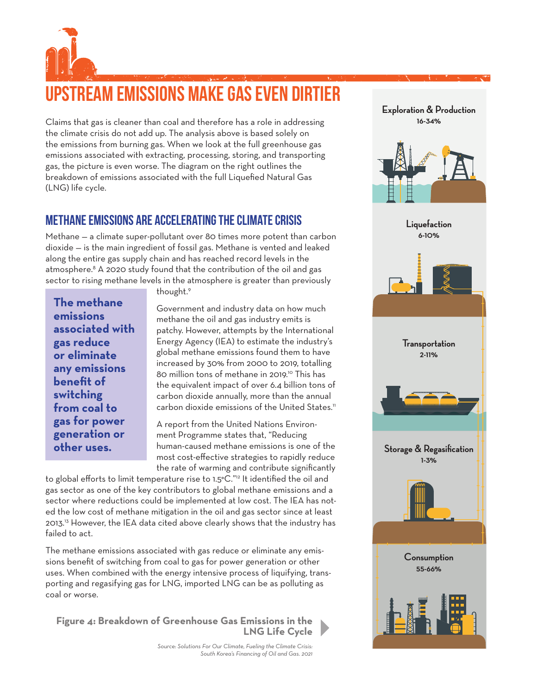## UPSTREAM EMISSIONS MAKE GAS EVEN DIRTIER

Claims that gas is cleaner than coal and therefore has a role in addressing the climate crisis do not add up. The analysis above is based solely on the emissions from burning gas. When we look at the full greenhouse gas emissions associated with extracting, processing, storing, and transporting gas, the picture is even worse. The diagram on the right outlines the breakdown of emissions associated with the full Liquefied Natural Gas (LNG) life cycle.

### METHANE EMISSIONS ARE ACCELERATING THE CLIMATE CRISIS

Methane — a climate super-pollutant over 80 times more potent than carbon dioxide — is the main ingredient of fossil gas. Methane is vented and leaked along the entire gas supply chain and has reached record levels in the atmosphere.<sup>8</sup> A 2020 study found that the contribution of the oil and gas sector to rising methane levels in the atmosphere is greater than previously

**The methane emissions associated with gas reduce or eliminate any emissions benefit of switching from coal to gas for power generation or other uses.**

thought.9

Government and industry data on how much methane the oil and gas industry emits is patchy. However, attempts by the International Energy Agency (IEA) to estimate the industry's global methane emissions found them to have increased by 30% from 2000 to 2019, totalling 80 million tons of methane in 2019.<sup>10</sup> This has the equivalent impact of over 6.4 billion tons of carbon dioxide annually, more than the annual carbon dioxide emissions of the United States.<sup>11</sup>

A report from the United Nations Environment Programme states that, "Reducing human-caused methane emissions is one of the most cost-effective strategies to rapidly reduce the rate of warming and contribute significantly

to global efforts to limit temperature rise to 1.5°C."12 It identified the oil and gas sector as one of the key contributors to global methane emissions and a sector where reductions could be implemented at low cost. The IEA has noted the low cost of methane mitigation in the oil and gas sector since at least 2013.13 However, the IEA data cited above clearly shows that the industry has failed to act.

The methane emissions associated with gas reduce or eliminate any emissions benefit of switching from coal to gas for power generation or other uses. When combined with the energy intensive process of liquifying, transporting and regasifying gas for LNG, imported LNG can be as polluting as coal or worse.

**Figure 4: Breakdown of Greenhouse Gas Emissions in the LNG Life Cycle** **Exploration & Production 16-34% Liquefaction 6-10% Transportation 2-11% Storage & Regasification 1-3% Consumption 55-66%**

*Source: Solutions For Our Climate, Fueling the Climate Crisis: South Korea's Financing of Oil and Gas. 2021*